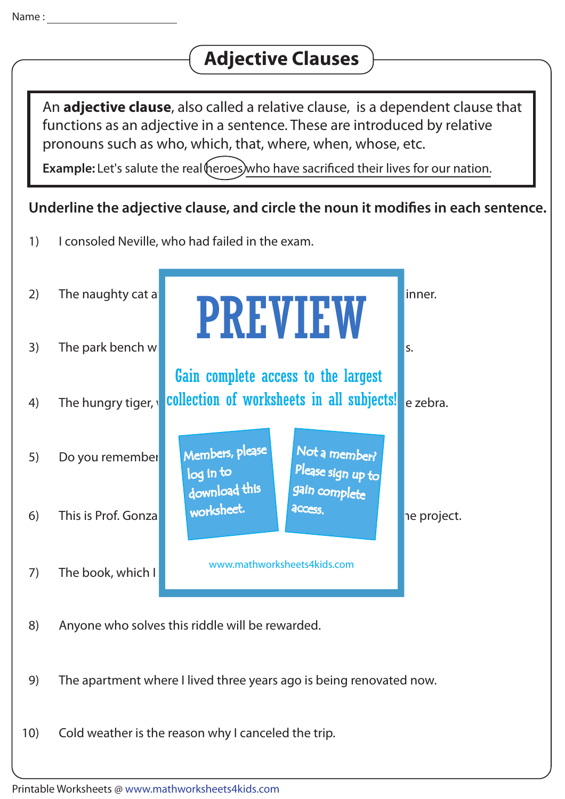## **Adjective Clauses**

An **adjective clause**, also called a relative clause, is a dependent clause that functions as an adjective in a sentence. These are introduced by relative pronouns such as who, which, that, where, when, whose, etc.

**Example:** Let's salute the real heroes who have sacrificed their lives for our nation.

## Underline the adjective clause, and circle the noun it modifies in each sentence.

1) I consoled Neville, who had failed in the exam.



- 8) Anyone who solves this riddle will be rewarded.
- 9) The apartment where I lived three years ago is being renovated now.
- 10) Cold weather is the reason why I canceled the trip.